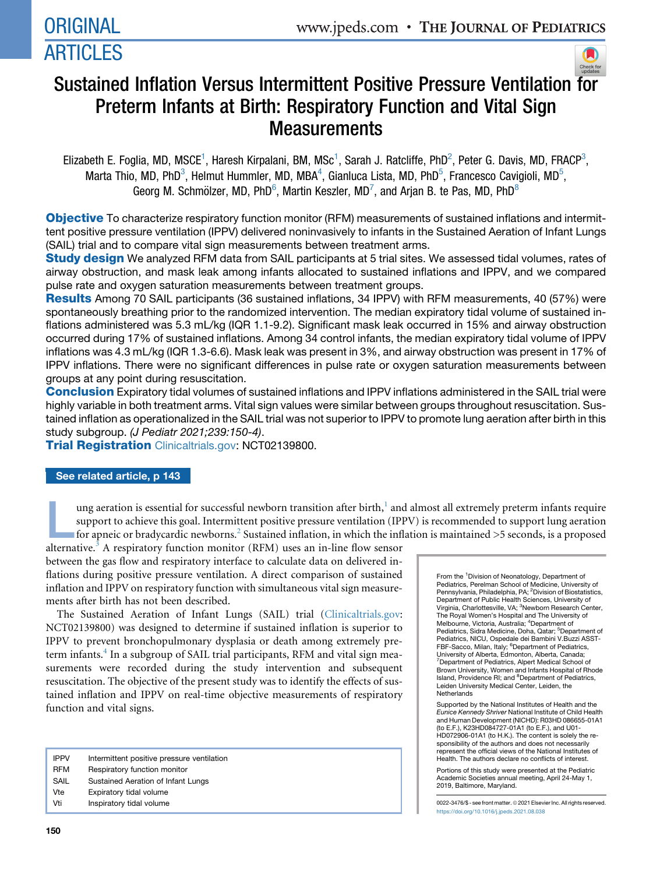# **ORIGINAL** ARTICLES



## Sustained Inflation Versus Intermittent Positive Pressure Ventilation [for](http://crossmark.crossref.org/dialog/?doi=10.1016/j.jpeds.2021.08.038&domain=pdf) Preterm Infants at Birth: Respiratory Function and Vital Sign **Measurements**

Elizabeth E. Foglia, MD, MSCE<sup>1</sup>, Haresh Kirpalani, BM, MSc<sup>1</sup>, Sarah J. Ratcliffe, PhD<sup>2</sup>, Peter G. Davis, MD, FRACP<sup>3</sup>, Marta Thio, MD, PhD<sup>3</sup>, Helmut Hummler, MD, MBA<sup>4</sup>, Gianluca Lista, MD, PhD<sup>5</sup>, Francesco Cavigioli, MD<sup>5</sup>, Georg M. Schmölzer, MD, PhD<sup>6</sup>, Martin Keszler, MD<sup>7</sup>, and Arjan B. te Pas, MD, PhD<sup>8</sup>

Objective To characterize respiratory function monitor (RFM) measurements of sustained inflations and intermittent positive pressure ventilation (IPPV) delivered noninvasively to infants in the Sustained Aeration of Infant Lungs (SAIL) trial and to compare vital sign measurements between treatment arms.

**Study design** We analyzed RFM data from SAIL participants at 5 trial sites. We assessed tidal volumes, rates of airway obstruction, and mask leak among infants allocated to sustained inflations and IPPV, and we compared pulse rate and oxygen saturation measurements between treatment groups.

Results Among 70 SAIL participants (36 sustained inflations, 34 IPPV) with RFM measurements, 40 (57%) were spontaneously breathing prior to the randomized intervention. The median expiratory tidal volume of sustained inflations administered was 5.3 mL/kg (IQR 1.1-9.2). Significant mask leak occurred in 15% and airway obstruction occurred during 17% of sustained inflations. Among 34 control infants, the median expiratory tidal volume of IPPV inflations was 4.3 mL/kg (IQR 1.3-6.6). Mask leak was present in 3%, and airway obstruction was present in 17% of IPPV inflations. There were no significant differences in pulse rate or oxygen saturation measurements between groups at any point during resuscitation.

Conclusion Expiratory tidal volumes of sustained inflations and IPPV inflations administered in the SAIL trial were highly variable in both treatment arms. Vital sign values were similar between groups throughout resuscitation. Sustained inflation as operationalized in the SAIL trial was not superior to IPPV to promote lung aeration after birth in this study subgroup. *(J Pediatr 2021;239:150-4)*.

**Trial Registration** [Clinicaltrials.gov](http://Clinicaltrials.gov): NCT02139800.

## See related article, p 143

ung aeration is essential for successful newborn transition after birth,<sup>[1](#page-3-0)</sup> and almost all extremely preterm infants require<br>support to achieve this goal. Intermittent positive pressure ventilation (IPPV) is recommended t support to achieve this goal. Intermittent positive pressure ventilation (IPPV) is recommended to support lung aeration

alternative.<sup>[3](#page-3-2)</sup> A respiratory function monitor (RFM) uses an in-line flow sensor between the gas flow and respiratory interface to calculate data on delivered inflations during positive pressure ventilation. A direct comparison of sustained inflation and IPPV on respiratory function with simultaneous vital sign measurements after birth has not been described.

The Sustained Aeration of Infant Lungs (SAIL) trial ([Clinicaltrials.gov](http://Clinicaltrials.gov): NCT02139800) was designed to determine if sustained inflation is superior to IPPV to prevent bronchopulmonary dysplasia or death among extremely pre-term infants.<sup>[4](#page-3-3)</sup> In a subgroup of SAIL trial participants, RFM and vital sign measurements were recorded during the study intervention and subsequent resuscitation. The objective of the present study was to identify the effects of sustained inflation and IPPV on real-time objective measurements of respiratory function and vital signs.

- IPPV Intermittent positive pressure ventilation
- RFM Respiratory function monitor
- SAIL Sustained Aeration of Infant Lungs
- Vte Expiratory tidal volume Vti lnspiratory tidal volume

HD072906-01A1 (to H.K.). The content is solely the responsibility of the authors and does not necessarily represent the official views of the National Institutes of Health. The authors declare no conflicts of interest. Portions of this study were presented at the Pediatric Academic Societies annual meeting, April 24-May 1, 2019, Baltimore, Maryland.

Supported by the National Institutes of Health and the *Eunice Kennedy Shriver* National Institute of Child Health and Human Development (NICHD): R03HD 086655-01A1 (to E.F.), K23HD084727-01A1 (to E.F.), and U01-

From the <sup>1</sup> Division of Neonatology, Department of Pediatrics, Perelman School of Medicine, University of Pennsylvania, Philadelphia, PA; <sup>2</sup>Division of Biostatistics, Department of Public Health Sciences, University of Virginia, Charlottesville, VA; <sup>3</sup>Newborn Research Center, The Royal Women's Hospital and The University of Melbourne, Victoria, Australia; <sup>4</sup> Department of Pediatrics, Sidra Medicine, Doha, Qatar; <sup>5</sup>Department of<br>Pediatrics, NICU, Ospedale dei Bambini V.Buzzi ASST-FBF-Sacco, Milan, Italy; <sup>6</sup>Department of Pediatrics, University of Alberta, Edmonton, Alberta, Canada; 7 Department of Pediatrics, Alpert Medical School of Brown University, Women and Infants Hospital of Rhode Island, Providence RI; and <sup>8</sup>Department of Pediatrics, Leiden University Medical Center, Leiden, the

Netherlands

0022-3476/\$ - see front matter. © 2021 Elsevier Inc. All rights reserved. <https://doi.org/10.1016/j.jpeds.2021.08.038>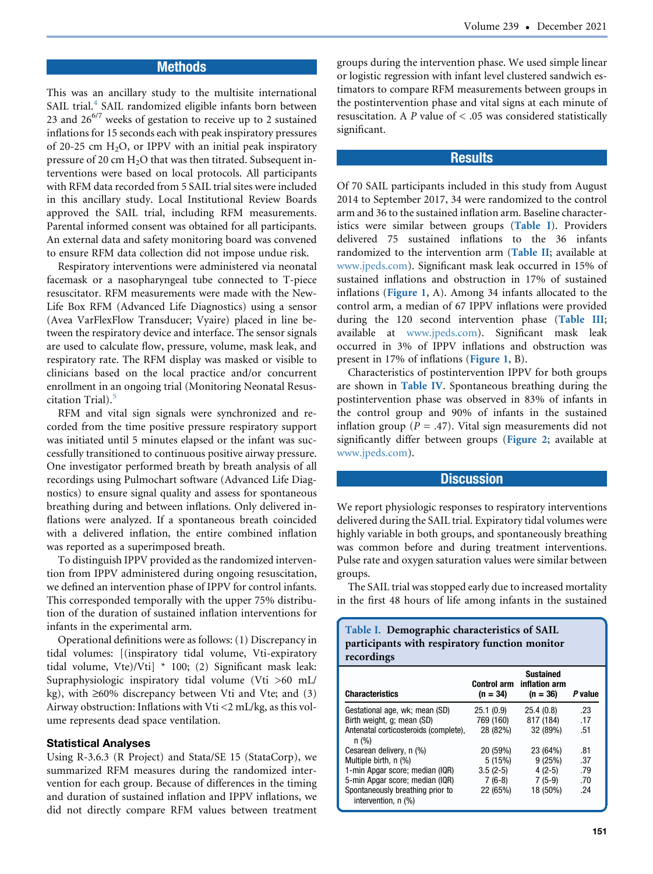#### **Methods**

This was an ancillary study to the multisite international SAIL trial.<sup>[4](#page-3-3)</sup> SAIL randomized eligible infants born between 23 and  $26^{6/7}$  weeks of gestation to receive up to 2 sustained inflations for 15 seconds each with peak inspiratory pressures of 20-25 cm  $H<sub>2</sub>O$ , or IPPV with an initial peak inspiratory pressure of 20 cm  $H_2O$  that was then titrated. Subsequent interventions were based on local protocols. All participants with RFM data recorded from 5 SAIL trial sites were included in this ancillary study. Local Institutional Review Boards approved the SAIL trial, including RFM measurements. Parental informed consent was obtained for all participants. An external data and safety monitoring board was convened to ensure RFM data collection did not impose undue risk.

Respiratory interventions were administered via neonatal facemask or a nasopharyngeal tube connected to T-piece resuscitator. RFM measurements were made with the New-Life Box RFM (Advanced Life Diagnostics) using a sensor (Avea VarFlexFlow Transducer; Vyaire) placed in line between the respiratory device and interface. The sensor signals are used to calculate flow, pressure, volume, mask leak, and respiratory rate. The RFM display was masked or visible to clinicians based on the local practice and/or concurrent enrollment in an ongoing trial (Monitoring Neonatal Resus-citation Trial).<sup>[5](#page-3-4)</sup>

RFM and vital sign signals were synchronized and recorded from the time positive pressure respiratory support was initiated until 5 minutes elapsed or the infant was successfully transitioned to continuous positive airway pressure. One investigator performed breath by breath analysis of all recordings using Pulmochart software (Advanced Life Diagnostics) to ensure signal quality and assess for spontaneous breathing during and between inflations. Only delivered inflations were analyzed. If a spontaneous breath coincided with a delivered inflation, the entire combined inflation was reported as a superimposed breath.

To distinguish IPPV provided as the randomized intervention from IPPV administered during ongoing resuscitation, we defined an intervention phase of IPPV for control infants. This corresponded temporally with the upper 75% distribution of the duration of sustained inflation interventions for infants in the experimental arm.

Operational definitions were as follows: (1) Discrepancy in tidal volumes: [(inspiratory tidal volume, Vti-expiratory tidal volume, Vte)/Vti] \* 100; (2) Significant mask leak: Supraphysiologic inspiratory tidal volume (Vti >60 mL/ kg), with  $\geq 60\%$  discrepancy between Vti and Vte; and (3) Airway obstruction: Inflations with Vti <2 mL/kg, as this volume represents dead space ventilation.

#### Statistical Analyses

Using R-3.6.3 (R Project) and Stata/SE 15 (StataCorp), we summarized RFM measures during the randomized intervention for each group. Because of differences in the timing and duration of sustained inflation and IPPV inflations, we did not directly compare RFM values between treatment groups during the intervention phase. We used simple linear or logistic regression with infant level clustered sandwich estimators to compare RFM measurements between groups in the postintervention phase and vital signs at each minute of resuscitation. A P value of  $<$  .05 was considered statistically significant.

#### **Results**

Of 70 SAIL participants included in this study from August 2014 to September 2017, 34 were randomized to the control arm and 36 to the sustained inflation arm. Baseline characteristics were similar between groups ([Table I](#page-1-0)). Providers delivered 75 sustained inflations to the 36 infants randomized to the intervention arm ([Table II](#page-5-0); available at [www.jpeds.com](http://www.jpeds.com)). Significant mask leak occurred in 15% of sustained inflations and obstruction in 17% of sustained inflations ([Figure 1](#page-2-0), A). Among 34 infants allocated to the control arm, a median of 67 IPPV inflations were provided during the 120 second intervention phase ([Table III](#page-5-1); available at [www.jpeds.com\)](http://www.jpeds.com). Significant mask leak occurred in 3% of IPPV inflations and obstruction was present in 17% of inflations ([Figure 1](#page-2-0), B).

Characteristics of postintervention IPPV for both groups are shown in [Table IV](#page-2-1). Spontaneous breathing during the postintervention phase was observed in 83% of infants in the control group and 90% of infants in the sustained inflation group ( $P = .47$ ). Vital sign measurements did not significantly differ between groups ([Figure 2](#page-5-2); available at [www.jpeds.com](http://www.jpeds.com)).

#### **Discussion**

We report physiologic responses to respiratory interventions delivered during the SAIL trial. Expiratory tidal volumes were highly variable in both groups, and spontaneously breathing was common before and during treatment interventions. Pulse rate and oxygen saturation values were similar between groups.

<span id="page-1-0"></span>The SAIL trial was stopped early due to increased mortality in the first 48 hours of life among infants in the sustained

Table I. Demographic characteristics of SAIL participants with respiratory function monitor recordings

| <b>Characteristics</b>                                  | <b>Control arm</b><br>$(n = 34)$ | <b>Sustained</b><br>inflation arm<br>$(n = 36)$ | P value |
|---------------------------------------------------------|----------------------------------|-------------------------------------------------|---------|
| Gestational age, wk; mean (SD)                          | 25.1(0.9)                        | 25.4(0.8)                                       | .23     |
| Birth weight, q; mean (SD)                              | 769 (160)                        | 817 (184)                                       | .17     |
| Antenatal corticosteroids (complete),<br>n (%)          | 28 (82%)                         | 32 (89%)                                        | .51     |
| Cesarean delivery, n (%)                                | 20 (59%)                         | 23 (64%)                                        | .81     |
| Multiple birth, n (%)                                   | 5(15%)                           | 9(25%)                                          | .37     |
| 1-min Apgar score; median (IQR)                         | $3.5(2-5)$                       | $4(2-5)$                                        | .79     |
| 5-min Apgar score; median (IQR)                         | $7(6-8)$                         | $7(5-9)$                                        | .70     |
| Spontaneously breathing prior to<br>intervention, n (%) | 22 (65%)                         | 18 (50%)                                        | .24     |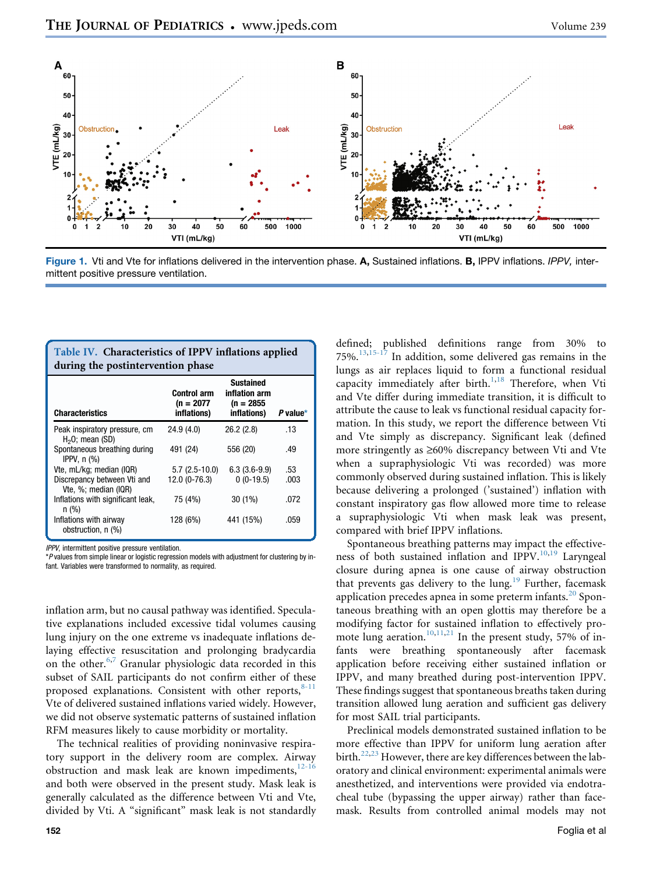<span id="page-2-0"></span>

Figure 1. Vti and Vte for inflations delivered in the intervention phase. A, Sustained inflations. B, IPPV inflations. *IPPV,* intermittent positive pressure ventilation.

<span id="page-2-1"></span>

| Table IV. Characteristics of IPPV inflations applied<br>during the postintervention phase |                                                   |                                                                  |          |  |  |
|-------------------------------------------------------------------------------------------|---------------------------------------------------|------------------------------------------------------------------|----------|--|--|
| <b>Characteristics</b>                                                                    | <b>Control arm</b><br>$(n = 2077)$<br>inflations) | <b>Sustained</b><br>inflation arm<br>$(n = 2855)$<br>inflations) | P value* |  |  |
| Peak inspiratory pressure, cm<br>$H2O$ ; mean (SD)                                        | 24.9 (4.0)                                        | 26.2(2.8)                                                        | .13      |  |  |
| Spontaneous breathing during<br>IPPV, $n$ $\left(\frac{9}{6}\right)$                      | 491 (24)                                          | 556 (20)                                                         | .49      |  |  |
| Vte, mL/kg; median (IQR)                                                                  | $5.7(2.5-10.0)$                                   | $6.3(3.6-9.9)$                                                   | .53      |  |  |
| Discrepancy between Vti and<br>Vte, %; median (IQR)                                       | 12.0 (0-76.3)                                     | $0(0-19.5)$                                                      | .003     |  |  |
| Inflations with significant leak,<br>n (%)                                                | 75 (4%)                                           | $30(1\%)$                                                        | .072     |  |  |
| Inflations with airway<br>obstruction, n (%)                                              | 128 (6%)                                          | 441 (15%)                                                        | .059     |  |  |

IPPV, intermittent positive pressure ventilation.

\*P values from simple linear or logistic regression models with adjustment for clustering by infant. Variables were transformed to normality, as required.

inflation arm, but no causal pathway was identified. Speculative explanations included excessive tidal volumes causing lung injury on the one extreme vs inadequate inflations delaying effective resuscitation and prolonging bradycardia on the other.<sup>[6,](#page-3-5)[7](#page-3-6)</sup> Granular physiologic data recorded in this subset of SAIL participants do not confirm either of these proposed explanations. Consistent with other reports, $8-11$ Vte of delivered sustained inflations varied widely. However, we did not observe systematic patterns of sustained inflation RFM measures likely to cause morbidity or mortality.

The technical realities of providing noninvasive respiratory support in the delivery room are complex. Airway obstruction and mask leak are known impediments, $12-16$ and both were observed in the present study. Mask leak is generally calculated as the difference between Vti and Vte, divided by Vti. A "significant" mask leak is not standardly defined; published definitions range from 30% to 75%.<sup>[13,](#page-3-9)[15-17](#page-3-10)</sup> In addition, some delivered gas remains in the lungs as air replaces liquid to form a functional residual capacity immediately after birth.<sup>[1](#page-3-0),[18](#page-3-11)</sup> Therefore, when Vti and Vte differ during immediate transition, it is difficult to attribute the cause to leak vs functional residual capacity formation. In this study, we report the difference between Vti and Vte simply as discrepancy. Significant leak (defined more stringently as  $\geq 60\%$  discrepancy between Vti and Vte when a supraphysiologic Vti was recorded) was more commonly observed during sustained inflation. This is likely because delivering a prolonged ('sustained') inflation with constant inspiratory gas flow allowed more time to release a supraphysiologic Vti when mask leak was present, compared with brief IPPV inflations.

Spontaneous breathing patterns may impact the effectiveness of both sustained inflation and IPPV. $10,19$  $10,19$  Laryngeal closure during apnea is one cause of airway obstruction that prevents gas delivery to the lung.<sup>[19](#page-3-13)</sup> Further, facemask application precedes apnea in some preterm infants. $20$  Spontaneous breathing with an open glottis may therefore be a modifying factor for sustained inflation to effectively pro-mote lung aeration.<sup>[10,](#page-3-12)[11,](#page-3-15)[21](#page-3-16)</sup> In the present study, 57% of infants were breathing spontaneously after facemask application before receiving either sustained inflation or IPPV, and many breathed during post-intervention IPPV. These findings suggest that spontaneous breaths taken during transition allowed lung aeration and sufficient gas delivery for most SAIL trial participants.

Preclinical models demonstrated sustained inflation to be more effective than IPPV for uniform lung aeration after birth.<sup>[22](#page-3-17)[,23](#page-3-18)</sup> However, there are key differences between the laboratory and clinical environment: experimental animals were anesthetized, and interventions were provided via endotracheal tube (bypassing the upper airway) rather than facemask. Results from controlled animal models may not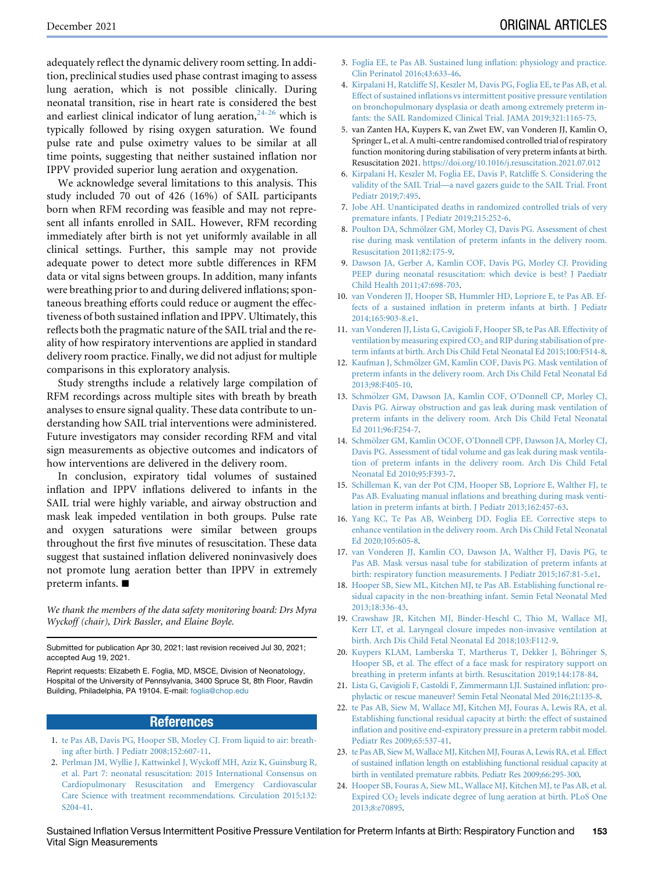adequately reflect the dynamic delivery room setting. In addition, preclinical studies used phase contrast imaging to assess lung aeration, which is not possible clinically. During neonatal transition, rise in heart rate is considered the best and earliest clinical indicator of lung aeration,  $24-26$  which is typically followed by rising oxygen saturation. We found pulse rate and pulse oximetry values to be similar at all time points, suggesting that neither sustained inflation nor IPPV provided superior lung aeration and oxygenation.

We acknowledge several limitations to this analysis. This study included 70 out of 426 (16%) of SAIL participants born when RFM recording was feasible and may not represent all infants enrolled in SAIL. However, RFM recording immediately after birth is not yet uniformly available in all clinical settings. Further, this sample may not provide adequate power to detect more subtle differences in RFM data or vital signs between groups. In addition, many infants were breathing prior to and during delivered inflations; spontaneous breathing efforts could reduce or augment the effectiveness of both sustained inflation and IPPV. Ultimately, this reflects both the pragmatic nature of the SAIL trial and the reality of how respiratory interventions are applied in standard delivery room practice. Finally, we did not adjust for multiple comparisons in this exploratory analysis.

Study strengths include a relatively large compilation of RFM recordings across multiple sites with breath by breath analyses to ensure signal quality. These data contribute to understanding how SAIL trial interventions were administered. Future investigators may consider recording RFM and vital sign measurements as objective outcomes and indicators of how interventions are delivered in the delivery room.

In conclusion, expiratory tidal volumes of sustained inflation and IPPV inflations delivered to infants in the SAIL trial were highly variable, and airway obstruction and mask leak impeded ventilation in both groups. Pulse rate and oxygen saturations were similar between groups throughout the first five minutes of resuscitation. These data suggest that sustained inflation delivered noninvasively does not promote lung aeration better than IPPV in extremely preterm infants.  $\blacksquare$ 

We thank the members of the data safety monitoring board: Drs Myra Wyckoff (chair), Dirk Bassler, and Elaine Boyle.

Submitted for publication Apr 30, 2021; last revision received Jul 30, 2021; accepted Aug 19, 2021.

Reprint requests: Elizabeth E. Foglia, MD, MSCE, Division of Neonatology, Hospital of the University of Pennsylvania, 3400 Spruce St, 8th Floor, Ravdin Building, Philadelphia, PA 19104. E-mail: [foglia@chop.edu](mailto:foglia@chop.edu)

#### **References**

- <span id="page-3-0"></span>1. [te Pas AB, Davis PG, Hooper SB, Morley CJ. From liquid to air: breath](http://refhub.elsevier.com/S0022-3476(21)00920-3/sref1)[ing after birth. J Pediatr 2008;152:607-11.](http://refhub.elsevier.com/S0022-3476(21)00920-3/sref1)
- <span id="page-3-1"></span>2. [Perlman JM, Wyllie J, Kattwinkel J, Wyckoff MH, Aziz K, Guinsburg R,](http://refhub.elsevier.com/S0022-3476(21)00920-3/sref2) [et al. Part 7: neonatal resuscitation: 2015 International Consensus on](http://refhub.elsevier.com/S0022-3476(21)00920-3/sref2) [Cardiopulmonary Resuscitation and Emergency Cardiovascular](http://refhub.elsevier.com/S0022-3476(21)00920-3/sref2) [Care Science with treatment recommendations. Circulation 2015;132:](http://refhub.elsevier.com/S0022-3476(21)00920-3/sref2) [S204-41](http://refhub.elsevier.com/S0022-3476(21)00920-3/sref2).
- <span id="page-3-2"></span>3. [Foglia EE, te Pas AB. Sustained lung inflation: physiology and practice.](http://refhub.elsevier.com/S0022-3476(21)00823-4/sref3) [Clin Perinatol 2016;43:633-46](http://refhub.elsevier.com/S0022-3476(21)00823-4/sref3).
- <span id="page-3-3"></span>4. [Kirpalani H, Ratcliffe SJ, Keszler M, Davis PG, Foglia EE, te Pas AB, et al.](http://refhub.elsevier.com/S0022-3476(21)00823-4/sref4) [Effect of sustained inflations vs intermittent positive pressure ventilation](http://refhub.elsevier.com/S0022-3476(21)00823-4/sref4) [on bronchopulmonary dysplasia or death among extremely preterm in](http://refhub.elsevier.com/S0022-3476(21)00823-4/sref4)[fants: the SAIL Randomized Clinical Trial. JAMA 2019;321:1165-75.](http://refhub.elsevier.com/S0022-3476(21)00823-4/sref4)
- <span id="page-3-4"></span>5. van Zanten HA, Kuypers K, van Zwet EW, van Vonderen JJ, Kamlin O, Springer L, et al. A multi-centre randomised controlled trial of respiratory function monitoring during stabilisation of very preterm infants at birth. Resuscitation 2021. <https://doi.org/10.1016/j.resuscitation.2021.07.012>
- <span id="page-3-5"></span>6. [Kirpalani H, Keszler M, Foglia EE, Davis P, Ratcliffe S. Considering the](http://refhub.elsevier.com/S0022-3476(21)00823-4/sref6) [validity of the SAIL Trial—a navel gazers guide to the SAIL Trial. Front](http://refhub.elsevier.com/S0022-3476(21)00823-4/sref6) [Pediatr 2019;7:495.](http://refhub.elsevier.com/S0022-3476(21)00823-4/sref6)
- <span id="page-3-6"></span>7. [Jobe AH. Unanticipated deaths in randomized controlled trials of very](http://refhub.elsevier.com/S0022-3476(21)00823-4/sref7) [premature infants. J Pediatr 2019;215:252-6.](http://refhub.elsevier.com/S0022-3476(21)00823-4/sref7)
- <span id="page-3-7"></span>8. Poulton DA, Schmölzer GM, Morley CJ, Davis PG. Assessment of chest [rise during mask ventilation of preterm infants in the delivery room.](http://refhub.elsevier.com/S0022-3476(21)00823-4/sref8) [Resuscitation 2011;82:175-9](http://refhub.elsevier.com/S0022-3476(21)00823-4/sref8).
- 9. [Dawson JA, Gerber A, Kamlin COF, Davis PG, Morley CJ. Providing](http://refhub.elsevier.com/S0022-3476(21)00823-4/sref9) [PEEP during neonatal resuscitation: which device is best? J Paediatr](http://refhub.elsevier.com/S0022-3476(21)00823-4/sref9) [Child Health 2011;47:698-703.](http://refhub.elsevier.com/S0022-3476(21)00823-4/sref9)
- <span id="page-3-12"></span>10. [van Vonderen JJ, Hooper SB, Hummler HD, Lopriore E, te Pas AB. Ef](http://refhub.elsevier.com/S0022-3476(21)00823-4/sref10)[fects of a sustained inflation in preterm infants at birth. J Pediatr](http://refhub.elsevier.com/S0022-3476(21)00823-4/sref10) [2014;165:903-8.e1.](http://refhub.elsevier.com/S0022-3476(21)00823-4/sref10)
- <span id="page-3-15"></span>11. [van Vonderen JJ, Lista G, Cavigioli F, Hooper SB, te Pas AB. Effectivity of](http://refhub.elsevier.com/S0022-3476(21)00823-4/sref11) ventilation by measuring expired  $CO<sub>2</sub>$  [and RIP during stabilisation of pre](http://refhub.elsevier.com/S0022-3476(21)00823-4/sref11)[term infants at birth. Arch Dis Child Fetal Neonatal Ed 2015;100:F514-8](http://refhub.elsevier.com/S0022-3476(21)00823-4/sref11).
- <span id="page-3-8"></span>12. Kaufman J, Schmölzer GM, Kamlin COF, Davis PG. Mask ventilation of [preterm infants in the delivery room. Arch Dis Child Fetal Neonatal Ed](http://refhub.elsevier.com/S0022-3476(21)00823-4/sref12) [2013;98:F405-10.](http://refhub.elsevier.com/S0022-3476(21)00823-4/sref12)
- <span id="page-3-9"></span>13. Schmölzer GM, Dawson JA, Kamlin COF, O'Donnell CP, Morley CJ, [Davis PG. Airway obstruction and gas leak during mask ventilation of](http://refhub.elsevier.com/S0022-3476(21)00823-4/sref13) [preterm infants in the delivery room. Arch Dis Child Fetal Neonatal](http://refhub.elsevier.com/S0022-3476(21)00823-4/sref13) [Ed 2011;96:F254-7.](http://refhub.elsevier.com/S0022-3476(21)00823-4/sref13)
- 14. Schmölzer GM, Kamlin OCOF, O'Donnell CPF, Dawson JA, Morley CJ, [Davis PG. Assessment of tidal volume and gas leak during mask ventila](http://refhub.elsevier.com/S0022-3476(21)00823-4/sref14)[tion of preterm infants in the delivery room. Arch Dis Child Fetal](http://refhub.elsevier.com/S0022-3476(21)00823-4/sref14) [Neonatal Ed 2010;95:F393-7](http://refhub.elsevier.com/S0022-3476(21)00823-4/sref14).
- <span id="page-3-10"></span>15. [Schilleman K, van der Pot CJM, Hooper SB, Lopriore E, Walther FJ, te](http://refhub.elsevier.com/S0022-3476(21)00823-4/sref15) [Pas AB. Evaluating manual inflations and breathing during mask venti](http://refhub.elsevier.com/S0022-3476(21)00823-4/sref15)[lation in preterm infants at birth. J Pediatr 2013;162:457-63](http://refhub.elsevier.com/S0022-3476(21)00823-4/sref15).
- 16. [Yang KC, Te Pas AB, Weinberg DD, Foglia EE. Corrective steps to](http://refhub.elsevier.com/S0022-3476(21)00823-4/sref16) [enhance ventilation in the delivery room. Arch Dis Child Fetal Neonatal](http://refhub.elsevier.com/S0022-3476(21)00823-4/sref16) [Ed 2020;105:605-8.](http://refhub.elsevier.com/S0022-3476(21)00823-4/sref16)
- 17. [van Vonderen JJ, Kamlin CO, Dawson JA, Walther FJ, Davis PG, te](http://refhub.elsevier.com/S0022-3476(21)00823-4/sref17) [Pas AB. Mask versus nasal tube for stabilization of preterm infants at](http://refhub.elsevier.com/S0022-3476(21)00823-4/sref17) [birth: respiratory function measurements. J Pediatr 2015;167:81-5.e1.](http://refhub.elsevier.com/S0022-3476(21)00823-4/sref17)
- <span id="page-3-11"></span>18. [Hooper SB, Siew ML, Kitchen MJ, te Pas AB. Establishing functional re](http://refhub.elsevier.com/S0022-3476(21)00823-4/sref18)[sidual capacity in the non-breathing infant. Semin Fetal Neonatal Med](http://refhub.elsevier.com/S0022-3476(21)00823-4/sref18) [2013;18:336-43.](http://refhub.elsevier.com/S0022-3476(21)00823-4/sref18)
- <span id="page-3-13"></span>19. [Crawshaw JR, Kitchen MJ, Binder-Heschl C, Thio M, Wallace MJ,](http://refhub.elsevier.com/S0022-3476(21)00823-4/sref19) [Kerr LT, et al. Laryngeal closure impedes non-invasive ventilation at](http://refhub.elsevier.com/S0022-3476(21)00823-4/sref19) [birth. Arch Dis Child Fetal Neonatal Ed 2018;103:F112-9](http://refhub.elsevier.com/S0022-3476(21)00823-4/sref19).
- <span id="page-3-14"></span>20. Kuypers KLAM, Lamberska T, Martherus T, Dekker J, Böhringer S, [Hooper SB, et al. The effect of a face mask for respiratory support on](http://refhub.elsevier.com/S0022-3476(21)00823-4/sref20) [breathing in preterm infants at birth. Resuscitation 2019;144:178-84](http://refhub.elsevier.com/S0022-3476(21)00823-4/sref20).
- <span id="page-3-16"></span>21. [Lista G, Cavigioli F, Castoldi F, Zimmermann LJI. Sustained inflation: pro](http://refhub.elsevier.com/S0022-3476(21)00823-4/sref21)[phylactic or rescue maneuver? Semin Fetal Neonatal Med 2016;21:135-8.](http://refhub.elsevier.com/S0022-3476(21)00823-4/sref21)
- <span id="page-3-17"></span>22. [te Pas AB, Siew M, Wallace MJ, Kitchen MJ, Fouras A, Lewis RA, et al.](http://refhub.elsevier.com/S0022-3476(21)00823-4/sref22) [Establishing functional residual capacity at birth: the effect of sustained](http://refhub.elsevier.com/S0022-3476(21)00823-4/sref22) [inflation and positive end-expiratory pressure in a preterm rabbit model.](http://refhub.elsevier.com/S0022-3476(21)00823-4/sref22) [Pediatr Res 2009;65:537-41](http://refhub.elsevier.com/S0022-3476(21)00823-4/sref22).
- <span id="page-3-18"></span>23. [te Pas AB, Siew M, Wallace MJ, Kitchen MJ, Fouras A, Lewis RA, et al. Effect](http://refhub.elsevier.com/S0022-3476(21)00823-4/sref23) [of sustained inflation length on establishing functional residual capacity at](http://refhub.elsevier.com/S0022-3476(21)00823-4/sref23) [birth in ventilated premature rabbits. Pediatr Res 2009;66:295-300.](http://refhub.elsevier.com/S0022-3476(21)00823-4/sref23)
- <span id="page-3-19"></span>24. [Hooper SB, Fouras A, Siew ML, Wallace MJ, Kitchen MJ, te Pas AB, et al.](http://refhub.elsevier.com/S0022-3476(21)00823-4/sref24) Expired CO<sub>2</sub> [levels indicate degree of lung aeration at birth. PLoS One](http://refhub.elsevier.com/S0022-3476(21)00823-4/sref24) [2013;8:e70895](http://refhub.elsevier.com/S0022-3476(21)00823-4/sref24).

Sustained Inflation Versus Intermittent Positive Pressure Ventilation for Preterm Infants at Birth: Respiratory Function and Vital Sign Measurements 153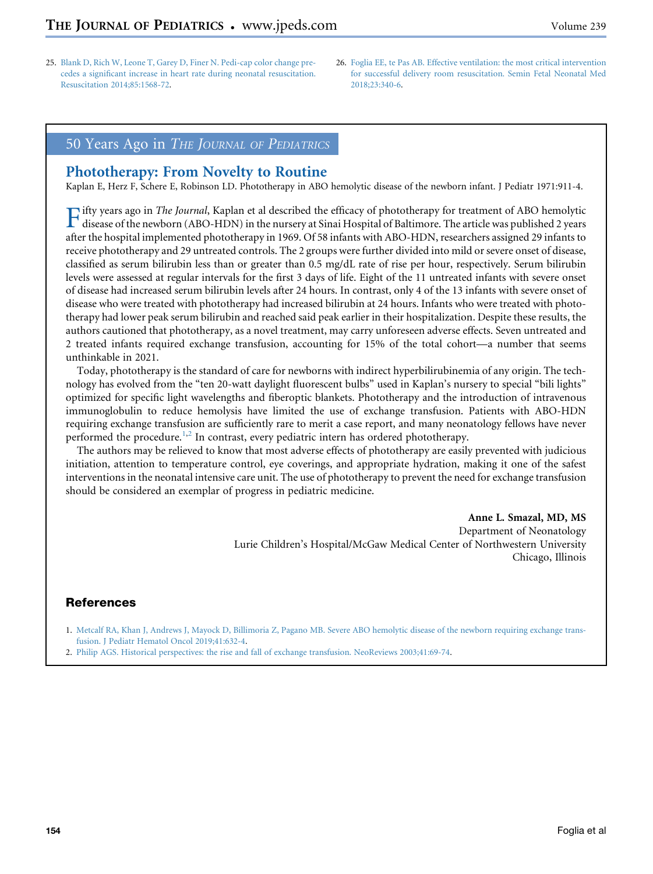- 25. [Blank D, Rich W, Leone T, Garey D, Finer N. Pedi-cap color change pre](http://refhub.elsevier.com/S0022-3476(21)00823-4/sref25)[cedes a significant increase in heart rate during neonatal resuscitation.](http://refhub.elsevier.com/S0022-3476(21)00823-4/sref25) [Resuscitation 2014;85:1568-72.](http://refhub.elsevier.com/S0022-3476(21)00823-4/sref25)
- 26. [Foglia EE, te Pas AB. Effective ventilation: the most critical intervention](http://refhub.elsevier.com/S0022-3476(21)00823-4/sref26) [for successful delivery room resuscitation. Semin Fetal Neonatal Med](http://refhub.elsevier.com/S0022-3476(21)00823-4/sref26) [2018;23:340-6](http://refhub.elsevier.com/S0022-3476(21)00823-4/sref26).

### 50 Years Ago in THE JOURNAL OF PEDIATRICS

## Phototherapy: From Novelty to Routine

Kaplan E, Herz F, Schere E, Robinson LD. Phototherapy in ABO hemolytic disease of the newborn infant. J Pediatr 1971:911-4.

Fifty years ago in *The Journal*, Kaplan et al described the efficacy of phototherapy for treatment of ABO hemolytic<br>disease of the newborn (ABO-HDN) in the nursery at Sinai Hospital of Baltimore. The article was published after the hospital implemented phototherapy in 1969. Of 58 infants with ABO-HDN, researchers assigned 29 infants to receive phototherapy and 29 untreated controls. The 2 groups were further divided into mild or severe onset of disease, classified as serum bilirubin less than or greater than 0.5 mg/dL rate of rise per hour, respectively. Serum bilirubin levels were assessed at regular intervals for the first 3 days of life. Eight of the 11 untreated infants with severe onset of disease had increased serum bilirubin levels after 24 hours. In contrast, only 4 of the 13 infants with severe onset of disease who were treated with phototherapy had increased bilirubin at 24 hours. Infants who were treated with phototherapy had lower peak serum bilirubin and reached said peak earlier in their hospitalization. Despite these results, the authors cautioned that phototherapy, as a novel treatment, may carry unforeseen adverse effects. Seven untreated and 2 treated infants required exchange transfusion, accounting for 15% of the total cohort—a number that seems unthinkable in 2021.

Today, phototherapy is the standard of care for newborns with indirect hyperbilirubinemia of any origin. The technology has evolved from the "ten 20-watt daylight fluorescent bulbs" used in Kaplan's nursery to special "bili lights" optimized for specific light wavelengths and fiberoptic blankets. Phototherapy and the introduction of intravenous immunoglobulin to reduce hemolysis have limited the use of exchange transfusion. Patients with ABO-HDN requiring exchange transfusion are sufficiently rare to merit a case report, and many neonatology fellows have never performed the procedure.<sup>[1](#page-4-0)[,2](#page-4-1)</sup> In contrast, every pediatric intern has ordered phototherapy.

The authors may be relieved to know that most adverse effects of phototherapy are easily prevented with judicious initiation, attention to temperature control, eye coverings, and appropriate hydration, making it one of the safest interventions in the neonatal intensive care unit. The use of phototherapy to prevent the need for exchange transfusion should be considered an exemplar of progress in pediatric medicine.

> Anne L. Smazal, MD, MS Department of Neonatology Lurie Children's Hospital/McGaw Medical Center of Northwestern University Chicago, Illinois

#### References

- <span id="page-4-0"></span>1. [Metcalf RA, Khan J, Andrews J, Mayock D, Billimoria Z, Pagano MB. Severe ABO hemolytic disease of the newborn requiring exchange trans](http://refhub.elsevier.com/S0022-3476(21)00920-3/sref1)[fusion. J Pediatr Hematol Oncol 2019;41:632-4.](http://refhub.elsevier.com/S0022-3476(21)00920-3/sref1)
- <span id="page-4-1"></span>2. [Philip AGS. Historical perspectives: the rise and fall of exchange transfusion. NeoReviews 2003;41:69-74](http://refhub.elsevier.com/S0022-3476(21)00920-3/sref2).